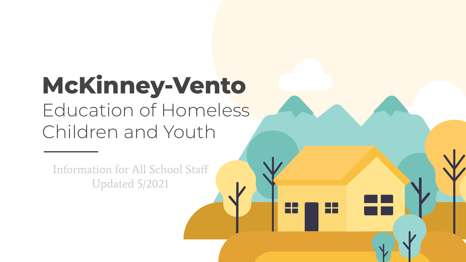# **McKinney-Vento** Education of Homeless Children and Youth

H

nн

Information for All School Staff Updated 5/2021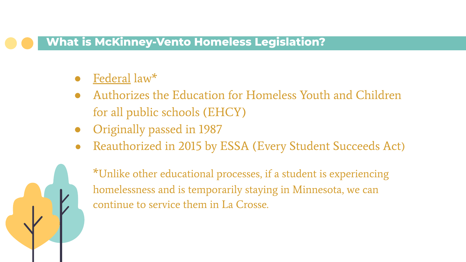#### **What is McKinney-Vento Homeless Legislation?**

#### Federal law $*$

- Authorizes the Education for Homeless Youth and Children for all public schools (EHCY)
- Originally passed in 1987
- Reauthorized in 2015 by ESSA (Every Student Succeeds Act)



\*Unlike other educational processes, if a student is experiencing homelessness and is temporarily staying in Minnesota, we can continue to service them in La Crosse.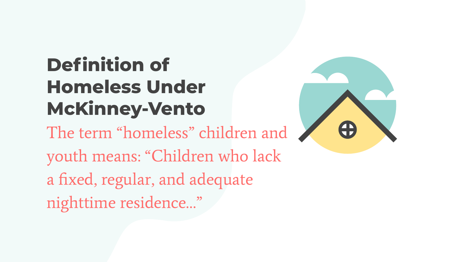# **Definition of Homeless Under McKinney-Vento**

The term "homeless" children and youth means: "Children who lack a fixed, regular, and adequate nighttime residence…"

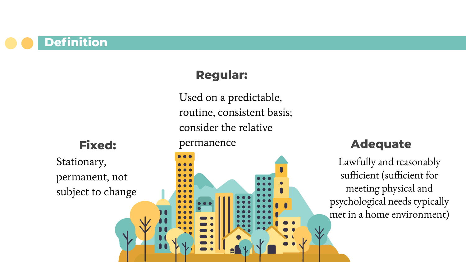**Definition**

### **Regular:**

Used on a predictable, routine, consistent basis; consider the relative

**Fixed:** 

Stationary, permanent, not subject to change

#### permanence



#### **Adequate**

Lawfully and reasonably sufficient (sufficient for meeting physical and psychological needs typically met in a home environment)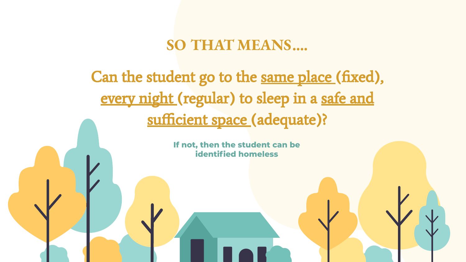### **SO THAT MEANS….**

Can the student go to the same place (fixed), every night (regular) to sleep in a safe and sufficient space (adequate)?

> **If not, then the student can be identified homeless**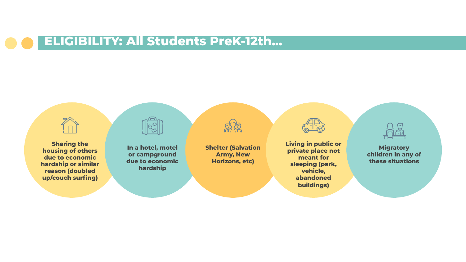### **ELIGIBILITY: All Students PreK-12th...**

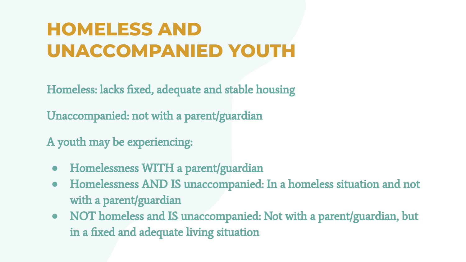## **HOMELESS AND UNACCOMPANIED YOUTH**

Homeless: lacks fixed, adequate and stable housing

Unaccompanied: not with a parent/guardian

A youth may be experiencing:

- **●** Homelessness WITH a parent/guardian
- **●** Homelessness AND IS unaccompanied: In a homeless situation and not with a parent/guardian
- **●** NOT homeless and IS unaccompanied: Not with a parent/guardian, but in a fixed and adequate living situation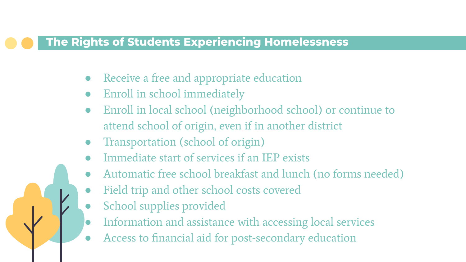#### **The Rights of Students Experiencing Homelessness**

- Receive a free and appropriate education
- Enroll in school immediately
- Enroll in local school (neighborhood school) or continue to attend school of origin, even if in another district
- Transportation (school of origin)
- Immediate start of services if an IEP exists
- Automatic free school breakfast and lunch (no forms needed)
- Field trip and other school costs covered
- School supplies provided
- Information and assistance with accessing local services
- Access to financial aid for post-secondary education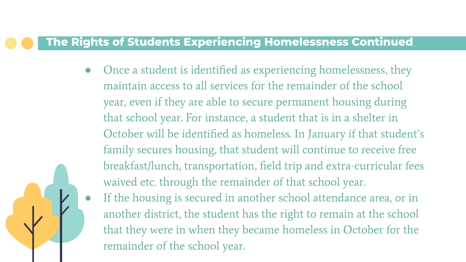#### **The Rights of Students Experiencing Homelessness Continued**

Once a student is identified as experiencing homelessness, they maintain access to all services for the remainder of the school year, even if they are able to secure permanent housing during that school year. For instance, a student that is in a shelter in October will be identified as homeless. In January if that student's family secures housing, that student will continue to receive free breakfast/lunch, transportation, field trip and extra-curricular fees waived etc. through the remainder of that school year.

If the housing is secured in another school attendance area, or in another district, the student has the right to remain at the school that they were in when they became homeless in October for the remainder of the school year.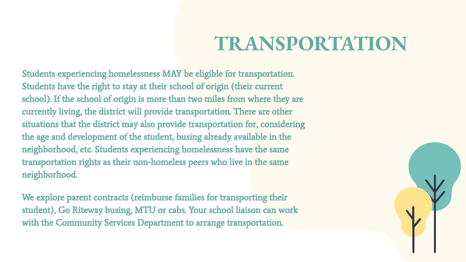## **TRANSPORTATION**

Students experiencing homelessness MAY be eligible for transportation. Students have the right to stay at their school of origin (their current school). If the school of origin is more than two miles from where they are currently living, the district will provide transportation. There are other situations that the district may also provide transportation for, considering the age and development of the student, busing already available in the neighborhood, etc. Students experiencing homelessness have the same transportation rights as their non-homeless peers who live in the same neighborhood.

We explore parent contracts (reimburse families for transporting their student), Go Riteway busing, MTU or cabs. Your school liaison can work with the Community Services Department to arrange transportation.

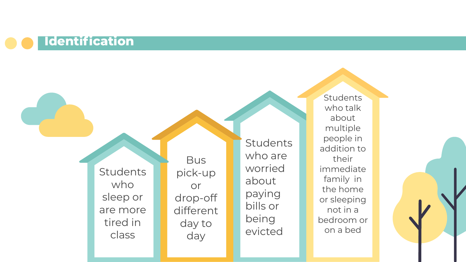### **Identification**

**Students** who sleep or are more tired in class

**Bus** pick-up or drop-off different day to day

**Students** who are worried about paying bills or being evicted

**Students** who talk about multiple people in addition to their immediate family in the home or sleeping not in a bedroom or on a bed

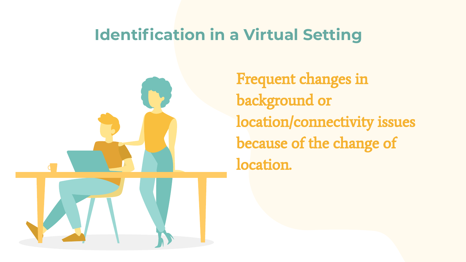### **Identification in a Virtual Setting**



Frequent changes in background or location/connectivity issues because of the change of location.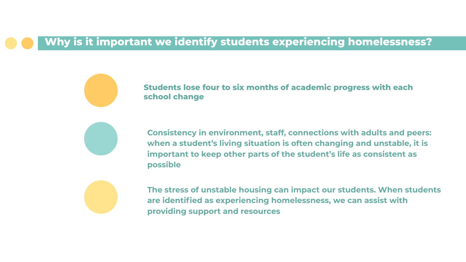#### **Why is it important we identify students experiencing homelessness?**

**Students lose four to six months of academic progress with each school change**

**Consistency in environment, staff, connections with adults and peers: when a student's living situation is often changing and unstable, it is important to keep other parts of the student's life as consistent as possible**



**The stress of unstable housing can impact our students. When students are identified as experiencing homelessness, we can assist with providing support and resources**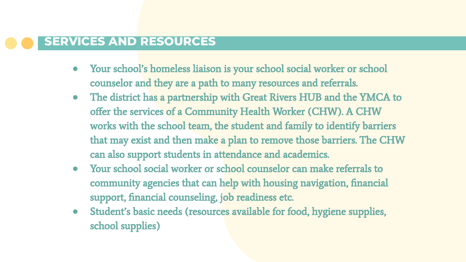#### **SERVICES AND RESOURCES**

- **●** Your school's homeless liaison is your school social worker or school counselor and they are a path to many resources and referrals.
- **●** The district has a partnership with Great Rivers HUB and the YMCA to offer the services of a Community Health Worker (CHW). A CHW works with the school team, the student and family to identify barriers that may exist and then make a plan to remove those barriers. The CHW can also support students in attendance and academics.
- **●** Your school social worker or school counselor can make referrals to community agencies that can help with housing navigation, financial support, financial counseling, job readiness etc.
- **●** Student's basic needs (resources available for food, hygiene supplies, school supplies)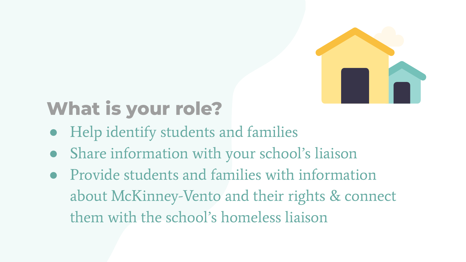

## **What is your role?**

- Help identify students and families
- Share information with your school's liaison
- Provide students and families with information about McKinney-Vento and their rights & connect them with the school's homeless liaison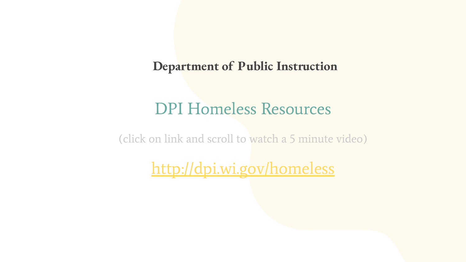#### **Department of Public Instruction**

### DPI Homeless Resources

(click on link and scroll to watch a 5 minute video)

<http://dpi.wi.gov/homeless>